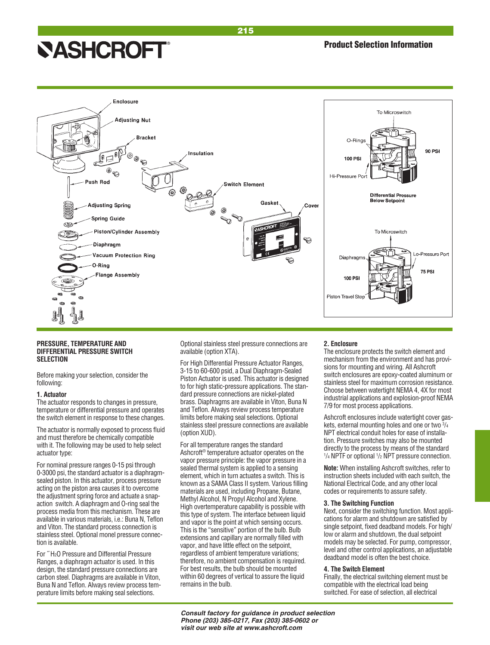# **NASHCROFT®**



#### **PRESSURE, TEMPERATURE AND DIFFERENTIAL PRESSURE SWITCH SELECTION**

Before making your selection, consider the following:

#### **1. Actuator**

The actuator responds to changes in pressure, temperature or differential pressure and operates the switch element in response to these changes.

The actuator is normally exposed to process fluid and must therefore be chemically compatible with it. The following may be used to help select actuator type:

For nominal pressure ranges 0-15 psi through 0-3000 psi, the standard actuator is a diaphragmsealed piston. In this actuator, process pressure acting on the piston area causes it to overcome the adjustment spring force and actuate a snapaction switch. A diaphragm and O-ring seal the process media from this mechanism. These are available in various materials, i.e.: Buna N, Teflon and Viton. The standard process connection is stainless steel. Optional monel pressure connection is available.

For ˝ H2O Pressure and Differential Pressure Ranges, a diaphragm actuator is used. In this design, the standard pressure connections are carbon steel. Diaphragms are available in Viton, Buna N and Teflon. Always review process temperature limits before making seal selections.

Optional stainless steel pressure connections are available (option XTA).

For High Differential Pressure Actuator Ranges, 3-15 to 60-600 psid, a Dual Diaphragm-Sealed Piston Actuator is used. This actuator is designed to for high static-pressure applications. The standard pressure connections are nickel-plated brass. Diaphragms are available in Viton, Buna N and Teflon. Always review process temperature limits before making seal selections. Optional stainless steel pressure connections are available (option XUD).

For all temperature ranges the standard Ashcroft® temperature actuator operates on the vapor pressure principle: the vapor pressure in a sealed thermal system is applied to a sensing element, which in turn actuates a switch. This is known as a SAMA Class II system. Various filling materials are used, including Propane, Butane, Methyl Alcohol, N Propyl Alcohol and Xylene. High overtemperature capability is possible with this type of system. The interface between liquid and vapor is the point at which sensing occurs. This is the "sensitive" portion of the bulb. Bulb extensions and capillary are normally filled with vapor, and have little effect on the setpoint, regardless of ambient temperature variations; therefore, no ambient compensation is required. For best results, the bulb should be mounted within 60 degrees of vertical to assure the liquid remains in the bulb.

#### **2. Enclosure**

The enclosure protects the switch element and mechanism from the environment and has provisions for mounting and wiring. All Ashcroft switch enclosures are epoxy-coated aluminum or stainless steel for maximum corrosion resistance. Choose between watertight NEMA 4, 4X for most industrial applications and explosion-proof NEMA 7/9 for most process applications.

Ashcroft enclosures include watertight cover gaskets, external mounting holes and one or two  $\frac{3}{4}$ NPT electrical conduit holes for ease of installation. Pressure switches may also be mounted directly to the process by means of the standard <sup>1</sup>/<sub>4</sub> NPTF or optional <sup>1</sup>/<sub>2</sub> NPT pressure connection.

**Note:** When installing Ashcroft switches, refer to instruction sheets included with each switch, the National Electrical Code, and any other local codes or requirements to assure safety.

#### **3. The Switching Function**

Next, consider the switching function. Most applications for alarm and shutdown are satisfied by single setpoint, fixed deadband models. For high/ low or alarm and shutdown, the dual setpoint models may be selected. For pump, compressor, level and other control applications, an adjustable deadband model is often the best choice.

#### **4. The Switch Element**

Finally, the electrical switching element must be compatible with the electrical load being switched. For ease of selection, all electrical

**Consult factory for guidance in product selection Phone (203) 385-0217, Fax (203) 385-0602 or visit our web site at www.ashcroft.com**

215